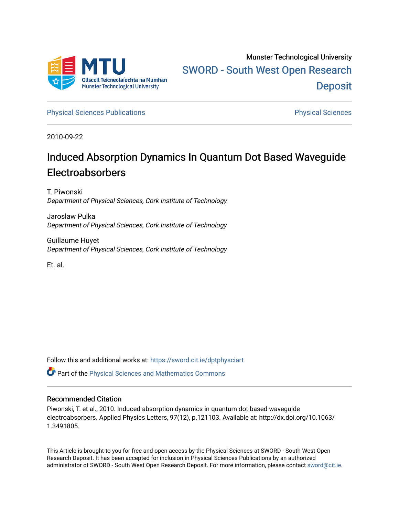

[Physical Sciences Publications](https://sword.cit.ie/dptphysciart) **Physical Sciences** Physical Sciences

2010-09-22

## Induced Absorption Dynamics In Quantum Dot Based Waveguide Electroabsorbers

T. Piwonski Department of Physical Sciences, Cork Institute of Technology

Jaroslaw Pulka Department of Physical Sciences, Cork Institute of Technology

Guillaume Huyet Department of Physical Sciences, Cork Institute of Technology

Et. al.

Follow this and additional works at: [https://sword.cit.ie/dptphysciart](https://sword.cit.ie/dptphysciart?utm_source=sword.cit.ie%2Fdptphysciart%2F30&utm_medium=PDF&utm_campaign=PDFCoverPages)

Part of the [Physical Sciences and Mathematics Commons](http://network.bepress.com/hgg/discipline/114?utm_source=sword.cit.ie%2Fdptphysciart%2F30&utm_medium=PDF&utm_campaign=PDFCoverPages) 

## Recommended Citation

Piwonski, T. et al., 2010. Induced absorption dynamics in quantum dot based waveguide electroabsorbers. Applied Physics Letters, 97(12), p.121103. Available at: http://dx.doi.org/10.1063/ 1.3491805.

This Article is brought to you for free and open access by the Physical Sciences at SWORD - South West Open Research Deposit. It has been accepted for inclusion in Physical Sciences Publications by an authorized administrator of SWORD - South West Open Research Deposit. For more information, please contact [sword@cit.ie.](mailto:sword@cit.ie)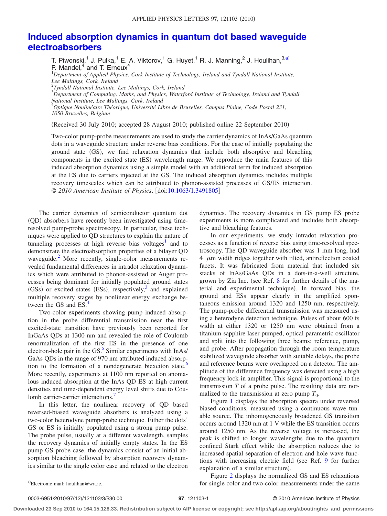## **[Induced absorption dynamics in quantum dot based waveguide](http://dx.doi.org/10.1063/1.3491805) [electroabsorbers](http://dx.doi.org/10.1063/1.3491805)**

T. Piwonski, $^{1}$  J. Pulka, $^{1}$  E. A. Viktorov, $^{1}$  G. Huyet, $^{1}$  R. J. Manning, $^{2}$  J. Houlihan, $^{3, a)}$ P. Mandel,<sup>4</sup> and T. Erneux<sup>4</sup><br><sup>1</sup>Department of Applied Physics, Cork Institute of Technology, Ireland and Tyndall National Institute, *Lee Maltings, Cork, Ireland* 2 *Tyndall National Institute, Lee Maltings, Cork, Ireland*

3 *Department of Computing, Maths, and Physics, Waterford Institute of Technology, Ireland and Tyndall National Institute, Lee Maltings, Cork, Ireland*

4 *Optique Nonlinéaire Théorique, Université Libre de Bruxelles, Campus Plaine, Code Postal 231, 1050 Bruxelles, Belgium*

(Received 30 July 2010; accepted 28 August 2010; published online 22 September 2010)

Two-color pump-probe measurements are used to study the carrier dynamics of InAs/GaAs quantum dots in a waveguide structure under reverse bias conditions. For the case of initially populating the ground state (GS), we find relaxation dynamics that include both absorptive and bleaching components in the excited state (ES) wavelength range. We reproduce the main features of this induced absorption dynamics using a simple model with an additional term for induced absorption at the ES due to carriers injected at the GS. The induced absorption dynamics includes multiple recovery timescales which can be attributed to phonon-assisted processes of GS/ES interaction. © 2010 American Institute of Physics. [doi[:10.1063/1.3491805](http://dx.doi.org/10.1063/1.3491805)]

The carrier dynamics of semiconductor quantum dot (QD) absorbers have recently been investigated using timeresolved pump-probe spectroscopy. In particular, these techniques were applied to QD structures to explain the nature of tunneling processes at high reverse bias voltages<sup>1</sup> and to demonstrate the electroabsorption properties of a bilayer QD waveguide.<sup>2</sup> More recently, single-color measurements revealed fundamental differences in intradot relaxation dynamics which were attributed to phonon-assisted or Auger processes being dominant for initially populated ground states (GSs) or excited states (ESs), respectively,<sup>3</sup> and explained multiple recovery stages by nonlinear energy exchange between the GS and ES.<sup>4</sup>

Two-color experiments showing pump induced absorption in the probe differential transmission near the first excited-state transition have previously been reported for InGaAs QDs at 1300 nm and revealed the role of Coulomb renormalization of the first ES in the presence of one electron-hole pair in the GS. $<sup>5</sup>$  Similar experiments with InAs/</sup> GaAs QDs in the range of 970 nm attributed induced absorption to the formation of a nondegenerate biexciton state.<sup>6</sup> More recently, experiments at 1100 nm reported on anomalous induced absorption at the InAs QD ES at high current densities and time-dependent energy level shifts due to Coulomb carrier-carrier interactions.<sup>7</sup>

In this letter, the nonlinear recovery of QD based reversed-biased waveguide absorbers is analyzed using a two-color heterodyne pump-probe technique. Either the dots' GS or ES is initially populated using a strong pump pulse. The probe pulse, usually at a different wavelength, samples the recovery dynamics of initially empty states. In the ES pump GS probe case, the dynamics consist of an initial absorption bleaching followed by absorption recovery dynamics similar to the single color case and related to the electron

dynamics. The recovery dynamics in GS pump ES probe experiments is more complicated and includes both absorptive and bleaching features.

In our experiments, we study intradot relaxation processes as a function of reverse bias using time-resolved spectroscopy. The QD waveguide absorber was 1 mm long, had  $4 \mu$ m width ridges together with tilted, antireflection coated facets. It was fabricated from material that included six stacks of InAs/GaAs QDs in a dots-in-a-well structure, grown by Zia Inc. (see Ref. [8](#page-3-7) for further details of the material and experimental technique. In forward bias, the ground and ESs appear clearly in the amplified spontaneous emission around 1320 and 1250 nm, respectively. The pump-probe differential transmission was measured using a heterodyne detection technique. Pulses of about 600 fs width at either 1320 or 1250 nm were obtained from a titanium-sapphire laser pumped, optical parametric oscillator and split into the following three beams: reference, pump, and probe. After propagation through the room temperature stabilized waveguide absorber with suitable delays, the probe and reference beams were overlapped on a detector. The amplitude of the difference frequency was detected using a high frequency lock-in amplifier. This signal is proportional to the transmission *T* of a probe pulse. The resulting data are normalized to the transmission at zero pump  $T_0$ .

Figure [1](#page-2-0) displays the absorption spectra under reversed biased conditions, measured using a continuous wave tunable source. The inhomogeneously broadened GS transition occurs around 1320 nm at 1 V while the ES transition occurs around 1250 nm. As the reverse voltage is increased, the peak is shifted to longer wavelengths due to the quantum confined Stark effect while the absorption reduces due to increased spatial separation of electron and hole wave func-tions with increasing electric field (see Ref. [9](#page-3-8) for further explanation of a similar structure).

Figure [2](#page-2-1) displays the normalized GS and ES relaxations for single color and two-color measurements under the same

0003-6951/2010/97(12)/121103/3/\$30.00

**Downloaded 23 Sep 2010 to 164.15.128.33. Redistribution subject to AIP license or copyright; see http://apl.aip.org/about/rights\_and\_permissions**

<span id="page-1-0"></span>a)Electronic mail: houlihan@wit.ie.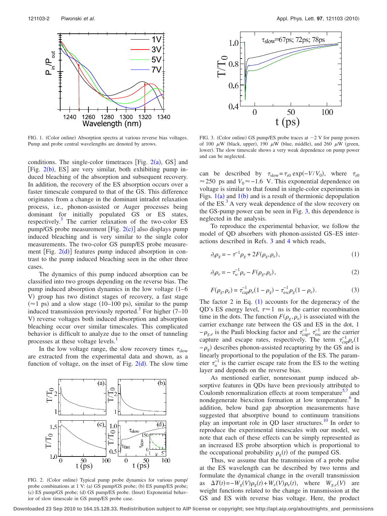<span id="page-2-0"></span>

FIG. 1. (Color online) Absorption spectra at various reverse bias voltages. Pump and probe central wavelengths are denoted by arrows.

conditions. The single-color timetraces [Fig.  $2(a)$  $2(a)$ , GS] and [Fig.  $2(b)$  $2(b)$ , ES] are very similar, both exhibiting pump induced bleaching of the absorption and subsequent recovery. In addition, the recovery of the ES absorption occurs over a faster timescale compared to that of the GS. This difference originates from a change in the dominant intradot relaxation process, i.e., phonon-assisted or Auger processes being dominant for initially populated GS or ES states, respectively.<sup>3</sup> The carrier relaxation of the two-color ES pump/GS probe measurement  $[Fig. 2(c)]$  $[Fig. 2(c)]$  $[Fig. 2(c)]$  also displays pump induced bleaching and is very similar to the single color measurements. The two-color GS pump/ES probe measurement [Fig.  $2(d)$  $2(d)$ ] features pump induced absorption in contrast to the pump induced bleaching seen in the other three cases.

The dynamics of this pump induced absorption can be classified into two groups depending on the reverse bias. The pump induced absorption dynamics in the low voltage (1-6 V) group has two distinct stages of recovery, a fast stage  $(\approx 1 \text{ ps})$  and a slow stage (10–100 ps), similar to the pump induced transmission previously reported.<sup>3</sup> For higher  $(7-10)$ V) reverse voltages both induced absorption and absorption bleaching occur over similar timescales. This complicated behavior is difficult to analyze due to the onset of tunneling processes at these voltage levels.<sup>1</sup>

<span id="page-2-1"></span>In the low voltage range, the slow recovery times  $\tau_{slow}$ are extracted from the experimental data and shown, as a function of voltage, on the inset of Fig.  $2(d)$  $2(d)$ . The slow time



FIG. 2. (Color online) Typical pump probe dynamics for various pump/ probe combinations at 1 V: (a) GS pump/GS probe; (b) ES pump/ES probe; (c) ES pump/GS probe; (d) GS pump/ES probe. (Inset) Exponential behavior of slow timescale in GS pump/ES probe case.

<span id="page-2-2"></span>

 $\mathbf{H}$  /<br>FIG. 3. (Color online) GS pump/ES probe traces at  $-2$  V for pump powers of 100  $\mu$ W (black, upper), 190  $\mu$ W (blue, middle), and 260  $\mu$ W (green, lower). The slow timescale shows a very weak dependence on pump power and can be neglected.

can be described by  $\tau_{slow} = \tau_{s0} \exp(-V/V_0)$ , where  $\tau_{s0}$ ≈ 250 ps and  $V_0$ ≈ -1.6 V. This exponential dependence on voltage is similar to that found in single-color experiments in Figs.  $1(a)$  $1(a)$  and  $1(b)$  and is a result of thermionic depopulation of the ES.<sup>3</sup> A very weak dependence of the slow recovery on the GS-pump power can be seen in Fig. [3,](#page-2-2) this dependence is neglected in the analysis.

<span id="page-2-3"></span>To reproduce the experimental behavior, we follow the model of QD absorbers with phonon-assisted GS–ES interactions described in Refs. [3](#page-3-2) and [4](#page-3-3) which reads,

$$
\partial_t \rho_g = -\tau^{-1} \rho_g + 2F(\rho_g, \rho_e),\tag{1}
$$

$$
\partial_t \rho_e = -\tau_w^{-1} \rho_e - F(\rho_g, \rho_e),\tag{2}
$$

$$
F(\rho_g, \rho_e) = \tau_{\text{cap}}^{-1} \rho_e (1 - \rho_g) - \tau_{\text{esc}}^{-1} \rho_g (1 - \rho_e). \tag{3}
$$

The factor 2 in Eq.  $(1)$  $(1)$  $(1)$  accounts for the degeneracy of the QD's ES energy level,  $\tau \approx 1$  ns is the carrier recombination time in the dots. The function  $F(\rho_g, \rho_e)$  is associated with the carrier exchange rate between the GS and ES in the dot, 1  $-\rho_{g,e}$  is the Pauli blocking factor and  $\tau_{cap}^{-1}$ ,  $\tau_{esc}^{-1}$  are the carrier capture and escape rates, respectively. The term  $\tau_{\rm cap}^{-1} \rho_e(1)$  $-\rho$ <sub>g</sub>) describes phonon-assisted recapturing by the GS and is linearly proportional to the population of the ES. The parameter  $\tau_w^{-1}$  is the carrier escape rate from the ES to the wetting layer and depends on the reverse bias.

As mentioned earlier, nonresonant pump induced absorptive features in QDs have been previously attributed to Coulomb renormalization effects at room temperature<sup>5,[7](#page-3-6)</sup> and nondegenerate biexciton formation at low temperature.<sup>6</sup> In addition, below band gap absorption measurements have suggested that absorptive bound to continuum transitions play an important role in QD laser structures[.10](#page-3-9) In order to reproduce the experimental timescales with our model, we note that each of these effects can be simply represented as an increased ES probe absorption which is proportional to the occupational probability  $\rho_g(t)$  of the pumped GS.

Thus, we assume that the transmission of a probe pulse at the ES wavelength can be described by two terms and formulate the dynamical change in the overall transmission as  $\Delta T(t) = -W_g(V)\rho_g(t) + W_e(V)\rho_e(t)$ , where  $W_{g,e}(V)$  are weight functions related to the change in transmission at the GS and ES with reverse bias voltage. Here, the product

**Downloaded 23 Sep 2010 to 164.15.128.33. Redistribution subject to AIP license or copyright; see http://apl.aip.org/about/rights\_and\_permissions**